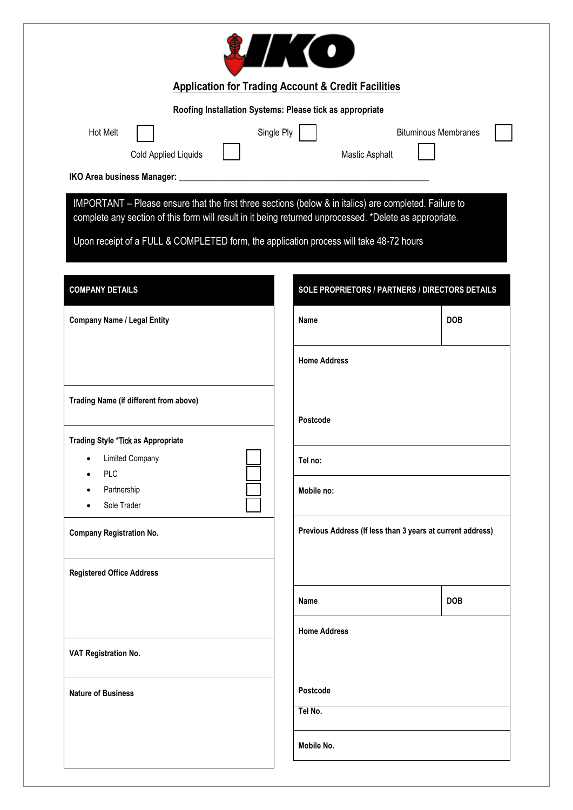|                                                                                                         | <b>LIKO</b>                                                    |                                                            |
|---------------------------------------------------------------------------------------------------------|----------------------------------------------------------------|------------------------------------------------------------|
|                                                                                                         | <b>Application for Trading Account &amp; Credit Facilities</b> |                                                            |
|                                                                                                         | Roofing Installation Systems: Please tick as appropriate       |                                                            |
| <b>Hot Melt</b><br>Cold Applied Liquids                                                                 | Single Ply<br>Mastic Asphalt                                   | <b>Bituminous Membranes</b>                                |
|                                                                                                         |                                                                |                                                            |
| IMPORTANT - Please ensure that the first three sections (below & in italics) are completed. Failure to  |                                                                |                                                            |
| complete any section of this form will result in it being returned unprocessed. *Delete as appropriate. |                                                                |                                                            |
| Upon receipt of a FULL & COMPLETED form, the application process will take 48-72 hours                  |                                                                |                                                            |
| <b>COMPANY DETAILS</b>                                                                                  |                                                                | SOLE PROPRIETORS / PARTNERS / DIRECTORS DETAILS            |
| <b>Company Name / Legal Entity</b>                                                                      | Name                                                           | <b>DOB</b>                                                 |
|                                                                                                         | <b>Home Address</b>                                            |                                                            |
| Trading Name (if different from above)                                                                  |                                                                |                                                            |
|                                                                                                         | Postcode                                                       |                                                            |
| <b>Trading Style *Tick as Appropriate</b><br><b>Limited Company</b><br><b>PLC</b>                       | Tel no:                                                        |                                                            |
| Partnership<br>Sole Trader                                                                              | Mobile no:                                                     |                                                            |
| <b>Company Registration No.</b>                                                                         |                                                                | Previous Address (If less than 3 years at current address) |
| <b>Registered Office Address</b>                                                                        |                                                                |                                                            |
|                                                                                                         | <b>Name</b>                                                    | <b>DOB</b>                                                 |
|                                                                                                         | <b>Home Address</b>                                            |                                                            |
| VAT Registration No.                                                                                    |                                                                |                                                            |
| <b>Nature of Business</b>                                                                               | Postcode                                                       |                                                            |
|                                                                                                         | Tel No.                                                        |                                                            |
|                                                                                                         | Mobile No.                                                     |                                                            |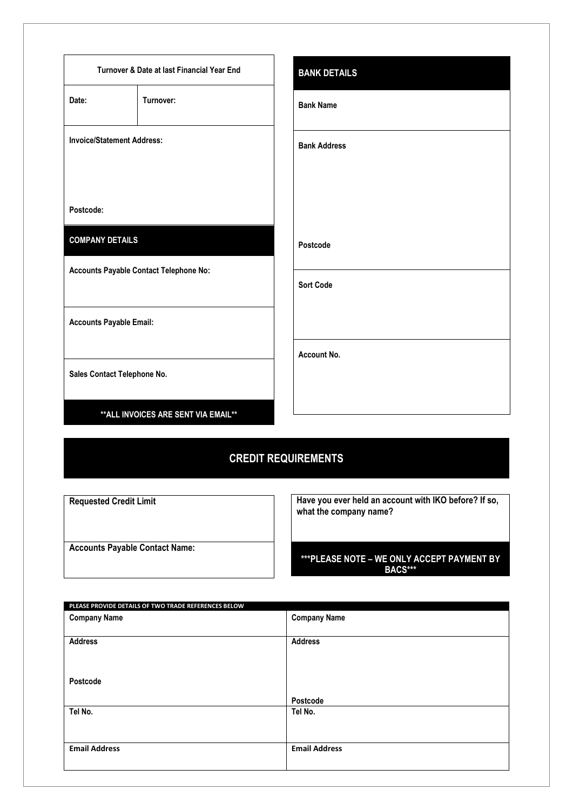|                                   | Turnover & Date at last Financial Year End | <b>BANK DETAILS</b> |
|-----------------------------------|--------------------------------------------|---------------------|
| Date:                             | Turnover:                                  | <b>Bank Name</b>    |
| <b>Invoice/Statement Address:</b> |                                            | <b>Bank Address</b> |
| Postcode:                         |                                            |                     |
| <b>COMPANY DETAILS</b>            |                                            | Postcode            |
|                                   | Accounts Payable Contact Telephone No:     | <b>Sort Code</b>    |
| <b>Accounts Payable Email:</b>    |                                            |                     |
| Sales Contact Telephone No.       |                                            | Account No.         |
|                                   | ** ALL INVOICES ARE SENT VIA EMAIL**       |                     |

# **CREDIT REQUIREMENTS**

| <b>Requested Credit Limit</b>         |  |
|---------------------------------------|--|
|                                       |  |
|                                       |  |
| <b>Accounts Payable Contact Name:</b> |  |

**Have you ever held an account with IKO before? If so, what the company name?** 

#### **\*\*\*PLEASE NOTE – WE ONLY ACCEPT PAYMENT BY BACS\*\*\***

| <b>Company Name</b>  | <b>Company Name</b>  |  |
|----------------------|----------------------|--|
|                      |                      |  |
| <b>Address</b>       | <b>Address</b>       |  |
|                      |                      |  |
|                      |                      |  |
| Postcode             |                      |  |
|                      | Postcode             |  |
| Tel No.              | Tel No.              |  |
|                      |                      |  |
|                      |                      |  |
| <b>Email Address</b> | <b>Email Address</b> |  |
|                      |                      |  |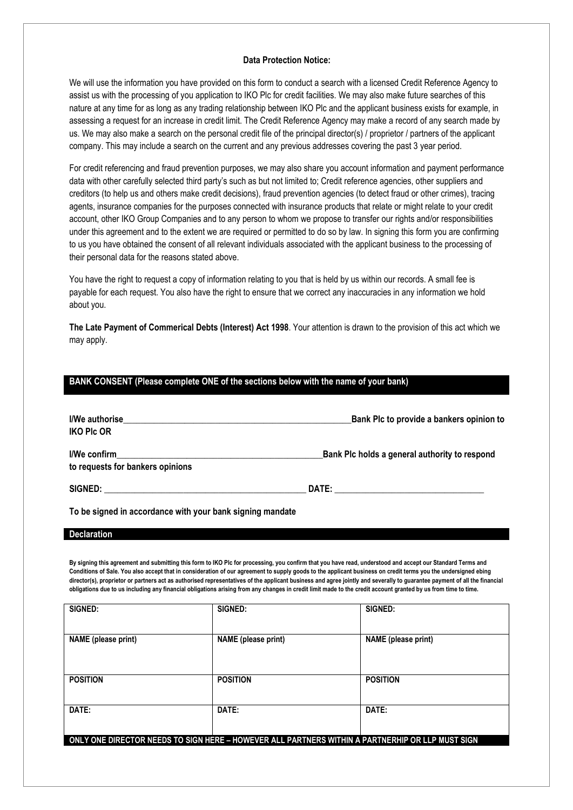#### **Data Protection Notice:**

We will use the information you have provided on this form to conduct a search with a licensed Credit Reference Agency to assist us with the processing of you application to IKO Plc for credit facilities. We may also make future searches of this nature at any time for as long as any trading relationship between IKO Plc and the applicant business exists for example, in assessing a request for an increase in credit limit. The Credit Reference Agency may make a record of any search made by us. We may also make a search on the personal credit file of the principal director(s) / proprietor / partners of the applicant company. This may include a search on the current and any previous addresses covering the past 3 year period.

For credit referencing and fraud prevention purposes, we may also share you account information and payment performance data with other carefully selected third party's such as but not limited to; Credit reference agencies, other suppliers and creditors (to help us and others make credit decisions), fraud prevention agencies (to detect fraud or other crimes), tracing agents, insurance companies for the purposes connected with insurance products that relate or might relate to your credit account, other IKO Group Companies and to any person to whom we propose to transfer our rights and/or responsibilities under this agreement and to the extent we are required or permitted to do so by law. In signing this form you are confirming to us you have obtained the consent of all relevant individuals associated with the applicant business to the processing of their personal data for the reasons stated above.

You have the right to request a copy of information relating to you that is held by us within our records. A small fee is payable for each request. You also have the right to ensure that we correct any inaccuracies in any information we hold about you.

**The Late Payment of Commerical Debts (Interest) Act 1998**. Your attention is drawn to the provision of this act which we may apply.

| BANK CONSENT (Please complete ONE of the sections below with the name of your bank) |                                               |  |
|-------------------------------------------------------------------------------------|-----------------------------------------------|--|
|                                                                                     |                                               |  |
|                                                                                     |                                               |  |
|                                                                                     | Bank Plc to provide a bankers opinion to      |  |
|                                                                                     |                                               |  |
| <b>IKO PIC OR</b>                                                                   |                                               |  |
|                                                                                     |                                               |  |
|                                                                                     | Bank Plc holds a general authority to respond |  |
|                                                                                     |                                               |  |
| to requests for bankers opinions                                                    |                                               |  |
|                                                                                     |                                               |  |
|                                                                                     |                                               |  |
|                                                                                     |                                               |  |
|                                                                                     |                                               |  |

**To be signed in accordance with your bank signing mandate**

#### **Declaration**

**By signing this agreement and submitting this form to IKO Plc for processing, you confirm that you have read, understood and accept our Standard Terms and Conditions of Sale. You also accept that in consideration of our agreement to supply goods to the applicant business on credit terms you the undersigned ebing director(s), proprietor or partners act as authorised representatives of the applicant business and agree jointly and severally to guarantee payment of all the financial obligations due to us including any financial obligations arising from any changes in credit limit made to the credit account granted by us from time to time.** 

| SIGNED:                                                                                          | SIGNED:                    | SIGNED:                    |
|--------------------------------------------------------------------------------------------------|----------------------------|----------------------------|
| <b>NAME</b> (please print)                                                                       | <b>NAME</b> (please print) | <b>NAME</b> (please print) |
| <b>POSITION</b>                                                                                  | <b>POSITION</b>            | <b>POSITION</b>            |
|                                                                                                  |                            |                            |
| DATE:                                                                                            | DATE:                      | DATE:                      |
| ONLY ONE DIRECTOR NEEDS TO SIGN HERE - HOWEVER ALL PARTNERS WITHIN A PARTNERHIP OR LLP MUST SIGN |                            |                            |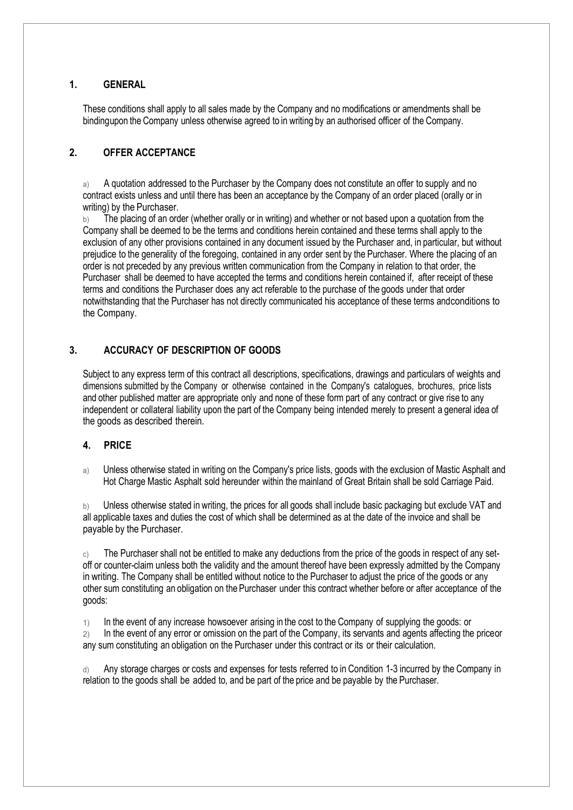## **1. GENERAL**

These conditions shall apply to all sales made by the Company and no modifications or amendments shall be bindingupon the Company unless otherwise agreed to in writing by an authorised officer of the Company.

# **2. OFFER ACCEPTANCE**

a) A quotation addressed to the Purchaser by the Company does not constitute an offer to supply and no contract exists unless and until there has been an acceptance by the Company of an order placed (orally or in writing) by the Purchaser.

The placing of an order (whether orally or in writing) and whether or not based upon a quotation from the Company shall be deemed to be the terms and conditions herein contained and these terms shall apply to the exclusion of any other provisions contained in any document issued by the Purchaser and, in particular, but without prejudice to the generality of the foregoing, contained in any order sent by the Purchaser. Where the placing of an order is not preceded by any previous written communication from the Company in relation to that order, the Purchaser shall be deemed to have accepted the terms and conditions herein contained if, after receipt of these terms and conditions the Purchaser does any act referable to the purchase of the goods under that order notwithstanding that the Purchaser has not directly communicated his acceptance of these terms andconditions to the Company.

# **3. ACCURACY OF DESCRIPTION OF GOODS**

Subject to any express term of this contract all descriptions, specifications, drawings and particulars of weights and dimensions submitted by the Company or otherwise contained in the Company's catalogues, brochures, price lists and other published matter are appropriate only and none of these form part of any contract or give rise to any independent or collateral liability upon the part of the Company being intended merely to present a general idea of the goods as described therein.

#### **4. PRICE**

a) Unless otherwise stated in writing on the Company's price lists, goods with the exclusion of Mastic Asphalt and Hot Charge Mastic Asphalt sold hereunder within the mainland of Great Britain shall be sold Carriage Paid.

b) Unless otherwise stated in writing, the prices for all goods shall include basic packaging but exclude VAT and all applicable taxes and duties the cost of which shall be determined as at the date of the invoice and shall be payable by the Purchaser.

c) The Purchaser shall not be entitled to make any deductions from the price of the goods in respect of any setoff or counter-claim unless both the validity and the amount thereof have been expressly admitted by the Company in writing. The Company shall be entitled without notice to the Purchaser to adjust the price of the goods or any other sum constituting an obligation on the Purchaser under this contract whether before or after acceptance of the goods:

1) In the event of any increase howsoever arising in the cost to the Company of supplying the goods: or

2) In the event of any error or omission on the part of the Company, its servants and agents affecting the price or any sum constituting an obligation on the Purchaser under this contract or its or their calculation.

d) Any storage charges or costs and expenses for tests referred to in Condition 1-3 incurred by the Company in relation to the goods shall be added to, and be part of the price and be payable by the Purchaser.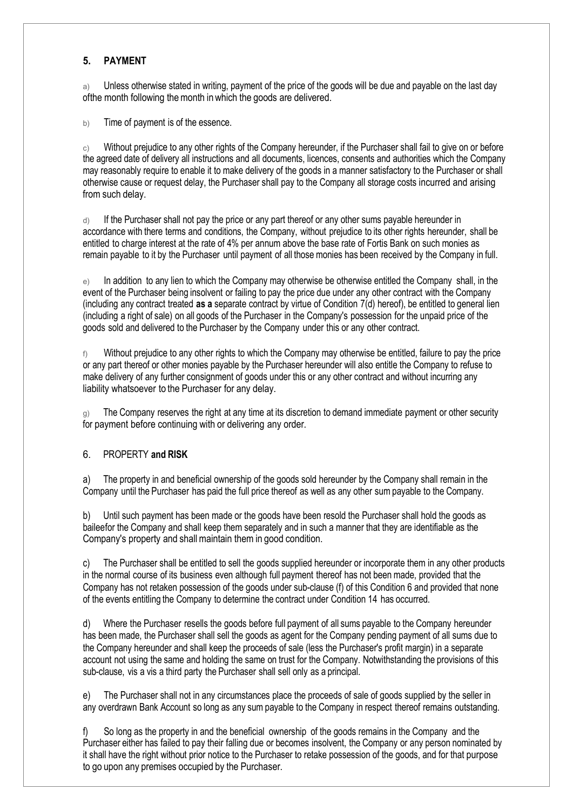# **5. PAYMENT**

a) Unless otherwise stated in writing, payment of the price of the goods will be due and payable on the last day ofthe month following themonth inwhich the goods are delivered.

b) Time of payment is of the essence.

 $\circ$ ) Without prejudice to any other rights of the Company hereunder, if the Purchaser shall fail to give on or before the agreed date of delivery all instructions and all documents, licences, consents and authorities which the Company may reasonably require to enable it to make delivery of the goods in a manner satisfactory to the Purchaser or shall otherwise cause or request delay, the Purchaser shall pay to the Company all storage costs incurred and arising from such delay.

d) If the Purchaser shall not pay the price or any part thereof or any other sums payable hereunder in accordance with there terms and conditions, the Company, without prejudice to its other rights hereunder, shall be entitled to charge interest at the rate of 4% per annum above the base rate of Fortis Bank on such monies as remain payable to it by the Purchaser until payment of all those monies has been received by the Company in full.

e) In addition to any lien to which the Company may otherwise be otherwise entitled the Company shall, in the event of the Purchaser being insolvent or failing to pay the price due under any other contract with the Company (including any contract treated **as a** separate contract by virtue of Condition 7(d) hereof), be entitled to general lien (including a right of sale) on all goods of the Purchaser in the Company's possession for the unpaid price of the goods sold and delivered to the Purchaser by the Company under this or any other contract.

 $\beta$  Without prejudice to any other rights to which the Company may otherwise be entitled, failure to pay the price or any part thereof or other monies payable by the Purchaser hereunder will also entitle the Company to refuse to make delivery of any further consignment of goods under this or any other contract and without incurring any liability whatsoever to the Purchaser for any delay.

g) The Company reserves the right at any time at its discretion to demand immediate payment or other security for payment before continuing with or delivering any order.

# 6. PROPERTY **and RISK**

a) The property in and beneficial ownership of the goods sold hereunder by the Company shall remain in the Company until the Purchaser has paid the full price thereof as well as any other sum payable to the Company.

b) Until such payment has been made or the goods have been resold the Purchaser shall hold the goods as baileefor the Company and shall keep them separately and in such a manner that they are identifiable as the Company's property and shall maintain them in good condition.

c) The Purchaser shall be entitled to sell the goods supplied hereunder or incorporate them in any other products in the normal course of its business even although full payment thereof has not been made, provided that the Company has not retaken possession of the goods under sub-clause (f) of this Condition 6 and provided that none of the events entitling the Company to determine the contract under Condition 14 has occurred.

d) Where the Purchaser resells the goods before full payment of all sums payable to the Company hereunder has been made, the Purchaser shall sell the goods as agent for the Company pending payment of all sums due to the Company hereunder and shall keep the proceeds of sale (less the Purchaser's profit margin) in a separate account not using the same and holding the same on trust for the Company. Notwithstanding the provisions of this sub-clause, vis a vis a third party the Purchaser shall sell only as a principal.

e) The Purchaser shall not in any circumstances place the proceeds of sale of goods supplied by the seller in any overdrawn Bank Account so long as any sum payable to the Company in respect thereof remains outstanding.

So long as the property in and the beneficial ownership of the goods remains in the Company and the Purchaser either has failed to pay their falling due or becomes insolvent, the Company or any person nominated by it shall have the right without prior notice to the Purchaser to retake possession of the goods, and for that purpose to go upon any premises occupied by the Purchaser.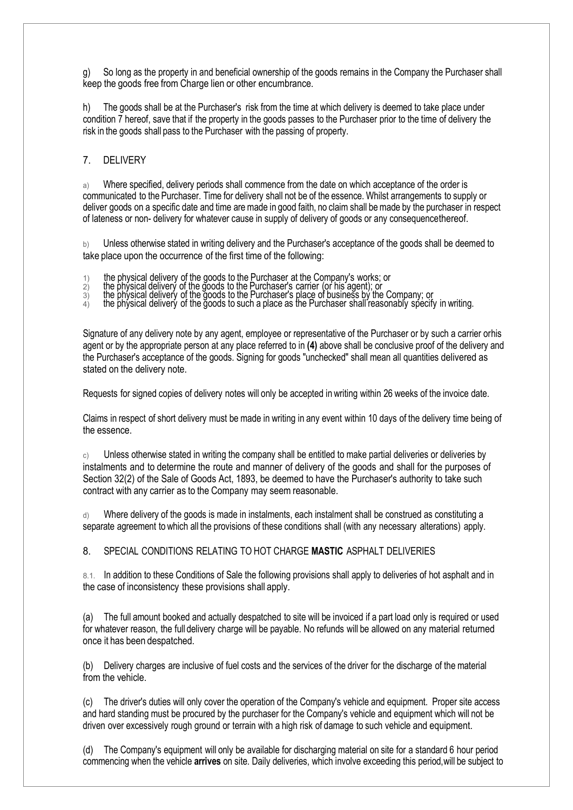g) So long as the property in and beneficial ownership of the goods remains in the Company the Purchaser shall keep the goods free from Charge lien or other encumbrance.

h) The goods shall be at the Purchaser's risk from the time at which delivery is deemed to take place under condition 7 hereof, save that if the property in the goods passes to the Purchaser prior to the time of delivery the risk in the goods shall pass to the Purchaser with the passing of property.

7. DELIVERY

a) Where specified, delivery periods shall commence from the date on which acceptance of the order is communicated to the Purchaser. Time for delivery shall not be of the essence. Whilst arrangements to supply or deliver goods on a specific date and time are made in good faith, no claim shall be made by the purchaser in respect of lateness or non- delivery for whatever cause in supply of delivery of goods or any consequencethereof.

b) Unless otherwise stated in writing delivery and the Purchaser's acceptance of the goods shall be deemed to take place upon the occurrence of the first time of the following:

- 1) the physical delivery of the goods to the Purchaser at the Company's works; or
- 2) the physical delivery of the goods to the Purchaser's carrier (or his agent); or
- $3)$  the physical delivery of the goods to the Purchaser's place of business by the Company; or
- $_4\rangle$  the physical delivery of the goods to such a place as the Purchaser shall reasonably specify in writing.

Signature of any delivery note by any agent, employee or representative of the Purchaser or by such a carrier or his agent or by the appropriate person at any place referred to in **(4)** above shall be conclusive proof of the delivery and the Purchaser's acceptance of the goods. Signing for goods "unchecked" shall mean all quantities delivered as stated on the delivery note.

Requests for signed copies of delivery notes will only be accepted in writing within 26 weeks of the invoice date.

Claims in respect of short delivery must be made in writing in any event within 10 days of the delivery time being of the essence.

c) Unless otherwise stated in writing the company shall be entitled to make partial deliveries or deliveries by instalments and to determine the route and manner of delivery of the goods and shall for the purposes of Section 32(2) of the Sale of Goods Act, 1893, be deemed to have the Purchaser's authority to take such contract with any carrier as to the Company may seem reasonable.

Where delivery of the goods is made in instalments, each instalment shall be construed as constituting a separate agreement to which all the provisions of these conditions shall (with any necessary alterations) apply.

8. SPECIAL CONDITIONS RELATING TO HOT CHARGE **MASTIC** ASPHALT DELIVERIES

8.1. In addition to these Conditions of Sale the following provisions shall apply to deliveries of hot asphalt and in the case of inconsistency these provisions shall apply.

(a) The full amount booked and actually despatched to site will be invoiced if a part load only is required or used for whatever reason, the full delivery charge will be payable. No refunds will be allowed on any material returned once it has been despatched.

(b) Delivery charges are inclusive of fuel costs and the services of the driver for the discharge of the material from the vehicle.

(c) The driver's duties will only cover the operation of the Company's vehicle and equipment. Proper site access and hard standing must be procured by the purchaser for the Company's vehicle and equipment which will not be driven over excessively rough ground or terrain with a high risk of damage to such vehicle and equipment.

(d) The Company's equipment will only be available for discharging material on site for a standard 6 hour period commencing when the vehicle **arrives** on site. Daily deliveries, which involve exceeding this period, will be subject to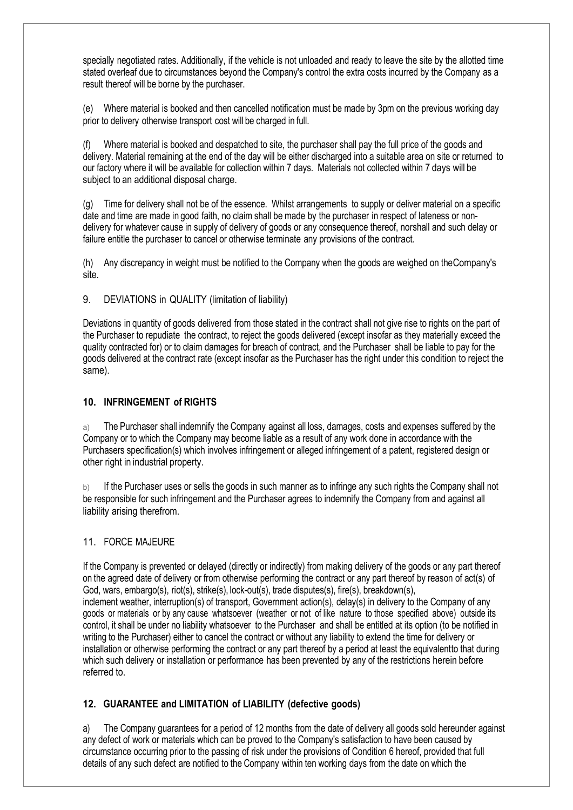specially negotiated rates. Additionally, if the vehicle is not unloaded and ready to leave the site by the allotted time stated overleaf due to circumstances beyond the Company's control the extra costs incurred by the Company as a result thereof will be borne by the purchaser.

(e) Where material is booked and then cancelled notification must be made by 3pm on the previous working day prior to delivery otherwise transport cost will be charged in full.

Where material is booked and despatched to site, the purchaser shall pay the full price of the goods and delivery. Material remaining at the end of the day will be either discharged into a suitable area on site or returned to our factory where it will be available for collection within 7 days. Materials not collected within 7 days will be subject to an additional disposal charge.

(g) Time for delivery shall not be of the essence. Whilst arrangements to supply or deliver material on a specific date and time are made in good faith, no claim shall be made by the purchaser in respect of lateness or nondelivery for whatever cause in supply of delivery of goods or any consequence thereof, nor shall and such delay or failure entitle the purchaser to cancel or otherwise terminate any provisions of the contract.

(h) Any discrepancy in weight must be notified to the Company when the goods are weighed on theCompany's site.

9. DEVIATIONS in QUALITY (limitation of liability)

Deviations in quantity of goods delivered from those stated in the contract shall not give rise to rights on the part of the Purchaser to repudiate the contract, to reject the goods delivered (except insofar as they materially exceed the quality contracted for) or to claim damages for breach of contract, and the Purchaser shall be liable to pay for the goods delivered at the contract rate (except insofar as the Purchaser has the right under this condition to reject the same).

#### **10. INFRINGEMENT of RIGHTS**

a) The Purchaser shall indemnify the Company against all loss, damages, costs and expenses suffered by the Company or to which the Company may become liable as a result of any work done in accordance with the Purchasers specification(s) which involves infringement or alleged infringement of a patent, registered design or other right in industrial property.

b) If the Purchaser uses or sells the goods in such manner as to infringe any such rights the Company shall not be responsible for such infringement and the Purchaser agrees to indemnify the Company from and against all liability arising therefrom.

#### 11. FORCE MAJEURE

If the Company is prevented or delayed (directly or indirectly) from making delivery of the goods or any part thereof on the agreed date of delivery or from otherwise performing the contract or any part thereof by reason of act(s) of God, wars, embargo(s), riot(s), strike(s), lock-out(s), trade disputes(s), fire(s), breakdown(s), inclement weather, interruption(s) of transport, Government action(s), delay(s) in delivery to the Company of any goods or materials or by any cause whatsoever (weather or not of like nature to those specified above) outside its control, it shall be under no liability whatsoever to the Purchaser and shall be entitled at its option (to be notified in writing to the Purchaser) either to cancel the contract or without any liability to extend the time for delivery or installation or otherwise performing the contract or any part thereof by a period at least the equivalent to that during which such delivery or installation or performance has been prevented by any of the restrictions herein before referred to.

## **12. GUARANTEE and LIMITATION of LIABILITY (defective goods)**

a) The Company guarantees for a period of 12 months from the date of delivery all goods sold hereunder against any defect of work or materials which can be proved to the Company's satisfaction to have been caused by circumstance occurring prior to the passing of risk under the provisions of Condition 6 hereof, provided that full details of any such defect are notified to the Company within ten working days from the date on which the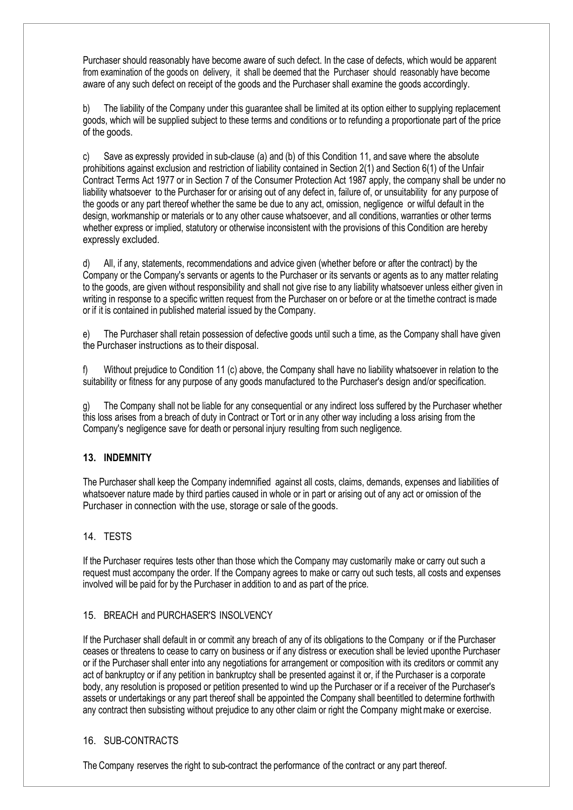Purchaser should reasonably have become aware of such defect. In the case of defects, which would be apparent from examination of the goods on delivery, it shall be deemed that the Purchaser should reasonably have become aware of any such defect on receipt of the goods and the Purchaser shall examine the goods accordingly.

b) The liability of the Company under this guarantee shall be limited at its option either to supplying replacement goods, which will be supplied subject to these terms and conditions or to refunding a proportionate part of the price of the goods.

c) Save as expressly provided in sub-clause (a) and (b) of this Condition 11, and save where the absolute prohibitions against exclusion and restriction of liability contained in Section 2(1) and Section 6(1) of the Unfair Contract Terms Act 1977 or in Section 7 of the Consumer Protection Act 1987 apply, the company shall be under no liability whatsoever to the Purchaser for or arising out of any defect in, failure of, or unsuitability for any purpose of the goods or any part thereof whether the same be due to any act, omission, negligence or wilful default in the design, workmanship or materials or to any other cause whatsoever, and all conditions, warranties or other terms whether express or implied, statutory or otherwise inconsistent with the provisions of this Condition are hereby expressly excluded.

d) All, if any, statements, recommendations and advice given (whether before or after the contract) by the Company or the Company's servants or agents to the Purchaser or its servants or agents as to any matter relating to the goods, are given without responsibility and shall not give rise to any liability whatsoever unless either given in writing in response to a specific written request from the Purchaser on or before or at the time the contract is made or if it is contained in published material issued by the Company.

e) The Purchaser shall retain possession of defective goods until such a time, as the Company shall have given the Purchaser instructions as to their disposal.

Without prejudice to Condition 11 (c) above, the Company shall have no liability whatsoever in relation to the suitability or fitness for any purpose of any goods manufactured to the Purchaser's design and/or specification.

g) The Company shall not be liable for any consequential or any indirect loss suffered by the Purchaser whether this loss arises from a breach of duty in Contract or Tort or in any other way including a loss arising from the Company's negligence save for death or personal injury resulting from such negligence.

## **13. INDEMNITY**

The Purchaser shall keep the Company indemnified against all costs, claims, demands, expenses and liabilities of whatsoever nature made by third parties caused in whole or in part or arising out of any act or omission of the Purchaser in connection with the use, storage or sale of the goods.

## 14. TESTS

If the Purchaser requires tests other than those which the Company may customarily make or carry out such a request must accompany the order. If the Company agrees to make or carry out such tests, all costs and expenses involved will be paid for by the Purchaser in addition to and as part of the price.

#### 15. BREACH and PURCHASER'S INSOLVENCY

If the Purchaser shall default in or commit any breach of any of its obligations to the Company or if the Purchaser ceases or threatens to cease to carry on business or if any distress or execution shall be levied uponthe Purchaser or if the Purchaser shall enter into any negotiations for arrangement or composition with its creditors or commit any act of bankruptcy or if any petition in bankruptcy shall be presented against it or, if the Purchaser is a corporate body, any resolution is proposed or petition presented to wind up the Purchaser or if a receiver of the Purchaser's assets or undertakings or any part thereof shall be appointed the Company shall beentitled to determine forthwith any contract then subsisting without prejudice to any other claim or right the Company might make or exercise.

# 16. SUB-CONTRACTS

The Company reserves the right to sub-contract the performance of the contract or any part thereof.